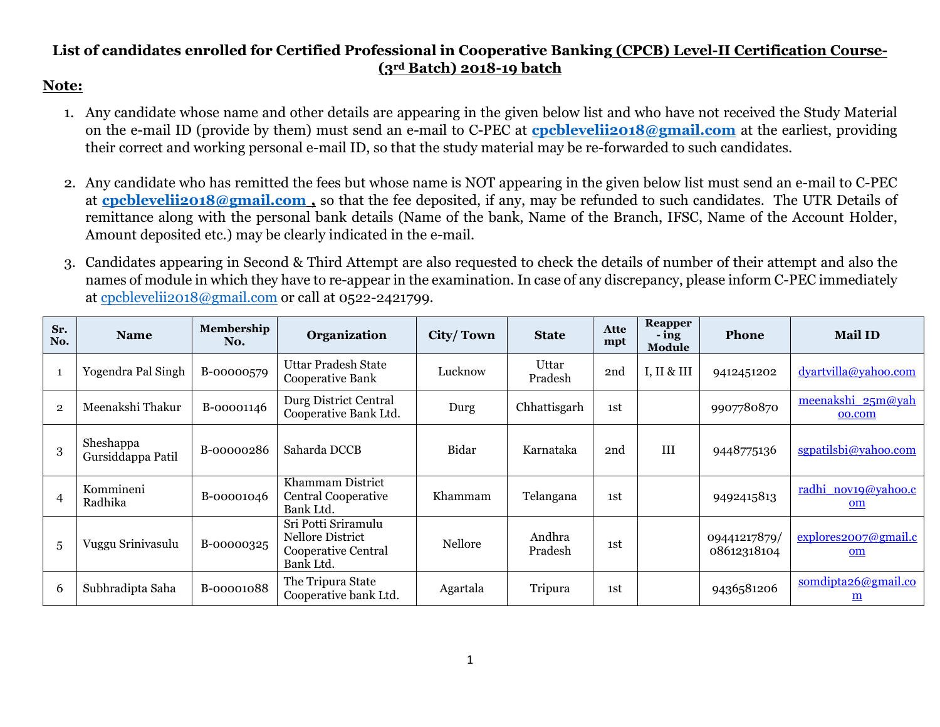## **List of candidates enrolled for Certified Professional in Cooperative Banking (CPCB) Level-II Certification Course- (3rd Batch) 2018-19 batch**

## **Note:**

- 1. Any candidate whose name and other details are appearing in the given below list and who have not received the Study Material on the e-mail ID (provide by them) must send an e-mail to C-PEC at **[cpcblevelii2018@gmail.com](mailto:cpcblevelii2018@gmail.com)** at the earliest, providing their correct and working personal e-mail ID, so that the study material may be re-forwarded to such candidates.
- 2. Any candidate who has remitted the fees but whose name is NOT appearing in the given below list must send an e-mail to C-PEC at **[cpcblevelii2018@gmail.com](mailto:cpcblevelii2018@gmail.com) ,** so that the fee deposited, if any, may be refunded to such candidates. The UTR Details of remittance along with the personal bank details (Name of the bank, Name of the Branch, IFSC, Name of the Account Holder, Amount deposited etc.) may be clearly indicated in the e-mail.
- 3. Candidates appearing in Second & Third Attempt are also requested to check the details of number of their attempt and also the names of module in which they have to re-appear in the examination. In case of any discrepancy, please inform C-PEC immediately at [cpcblevelii2018@gmail.com](mailto:cpcblevelii2018@gmail.com) or call at 0522-2421799.

| Sr.<br>No.     | <b>Name</b>                    | Membership<br>No. | Organization                                                                       | City/Town      | <b>State</b>      | Atte<br>mpt | Reapper<br>- ing<br>Module | <b>Phone</b>                | <b>Mail ID</b>                  |
|----------------|--------------------------------|-------------------|------------------------------------------------------------------------------------|----------------|-------------------|-------------|----------------------------|-----------------------------|---------------------------------|
| $\mathbf{1}$   | Yogendra Pal Singh             | B-00000579        | <b>Uttar Pradesh State</b><br>Cooperative Bank                                     | Lucknow        | Uttar<br>Pradesh  | 2nd         | I, II & III                | 9412451202                  | dyartvilla@yahoo.com            |
| $\overline{2}$ | Meenakshi Thakur               | B-00001146        | Durg District Central<br>Cooperative Bank Ltd.                                     | Durg           | Chhattisgarh      | 1st         |                            | 9907780870                  | meenakshi 25m@yah<br>oo.com     |
| 3              | Sheshappa<br>Gursiddappa Patil | B-00000286        | Saharda DCCB                                                                       | Bidar          | Karnataka         | 2nd         | III                        | 9448775136                  | sgpatilsbi@yahoo.com            |
| 4              | Kommineni<br>Radhika           | B-00001046        | Khammam District<br><b>Central Cooperative</b><br>Bank Ltd.                        | Khammam        | Telangana         | 1st         |                            | 9492415813                  | radhi nov19@yahoo.c<br>om       |
| 5              | Vuggu Srinivasulu              | B-00000325        | Sri Potti Sriramulu<br>Nellore District<br><b>Cooperative Central</b><br>Bank Ltd. | <b>Nellore</b> | Andhra<br>Pradesh | 1st         |                            | 09441217879/<br>08612318104 | explores2007@gmail.c<br>om      |
| 6              | Subhradipta Saha               | B-00001088        | The Tripura State<br>Cooperative bank Ltd.                                         | Agartala       | Tripura           | 1st         |                            | 9436581206                  | somdipta26@gmail.co<br><u>m</u> |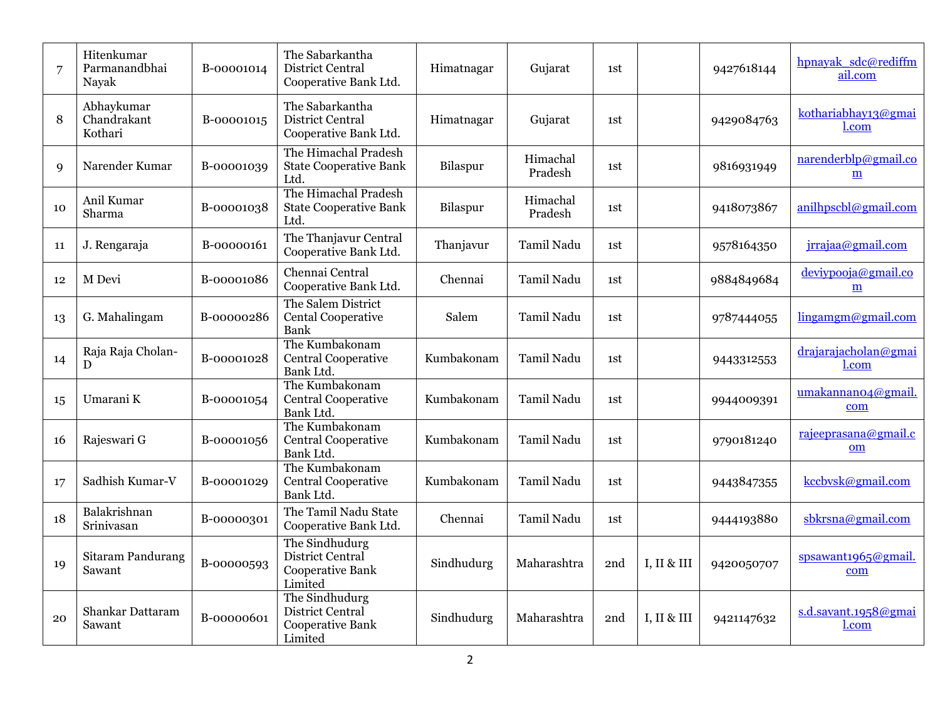| $\overline{7}$ | Hitenkumar<br>Parmanandbhai<br>Nayak | B-00001014 | The Sabarkantha<br>District Central<br>Cooperative Bank Ltd.        | Himatnagar | Gujarat             | 1st |             | 9427618144 | hpnayak sdc@rediffm<br>ail.com                   |
|----------------|--------------------------------------|------------|---------------------------------------------------------------------|------------|---------------------|-----|-------------|------------|--------------------------------------------------|
| 8              | Abhaykumar<br>Chandrakant<br>Kothari | B-00001015 | The Sabarkantha<br><b>District Central</b><br>Cooperative Bank Ltd. | Himatnagar | Gujarat             | 1st |             | 9429084763 | kothariabhay13@gmai<br>l.com                     |
| 9              | Narender Kumar                       | B-00001039 | The Himachal Pradesh<br><b>State Cooperative Bank</b><br>Ltd.       | Bilaspur   | Himachal<br>Pradesh | 1st |             | 9816931949 | narenderblp@gmail.co<br>$\underline{\mathbf{m}}$ |
| 10             | Anil Kumar<br>Sharma                 | B-00001038 | The Himachal Pradesh<br><b>State Cooperative Bank</b><br>Ltd.       | Bilaspur   | Himachal<br>Pradesh | 1st |             | 9418073867 | anilhpscbl@gmail.com                             |
| 11             | J. Rengaraja                         | B-00000161 | The Thanjavur Central<br>Cooperative Bank Ltd.                      | Thanjavur  | Tamil Nadu          | 1st |             | 9578164350 | jrrajaa@gmail.com                                |
| 12             | M Devi                               | B-00001086 | Chennai Central<br>Cooperative Bank Ltd.                            | Chennai    | Tamil Nadu          | 1st |             | 9884849684 | deviypooja@gmail.co<br>m                         |
| 13             | G. Mahalingam                        | B-00000286 | The Salem District<br><b>Cental Cooperative</b><br><b>Bank</b>      | Salem      | Tamil Nadu          | 1st |             | 9787444055 | lingamgm@gmail.com                               |
| 14             | Raja Raja Cholan-<br>D               | B-00001028 | The Kumbakonam<br><b>Central Cooperative</b><br>Bank Ltd.           | Kumbakonam | Tamil Nadu          | 1st |             | 9443312553 | drajarajacholan@gmai<br>l.com                    |
| 15             | Umarani K                            | B-00001054 | The Kumbakonam<br><b>Central Cooperative</b><br>Bank Ltd.           | Kumbakonam | Tamil Nadu          | 1st |             | 9944009391 | umakannano4@gmail.<br>com                        |
| 16             | Rajeswari G                          | B-00001056 | The Kumbakonam<br><b>Central Cooperative</b><br>Bank Ltd.           | Kumbakonam | Tamil Nadu          | 1st |             | 9790181240 | rajeeprasana@gmail.c<br>om                       |
| 17             | Sadhish Kumar-V                      | B-00001029 | The Kumbakonam<br><b>Central Cooperative</b><br>Bank Ltd.           | Kumbakonam | Tamil Nadu          | 1st |             | 9443847355 | kccbvsk@gmail.com                                |
| 18             | Balakrishnan<br>Srinivasan           | B-00000301 | The Tamil Nadu State<br>Cooperative Bank Ltd.                       | Chennai    | Tamil Nadu          | 1st |             | 9444193880 | sbkrsna@gmail.com                                |
| 19             | <b>Sitaram Pandurang</b><br>Sawant   | B-00000593 | The Sindhudurg<br>District Central<br>Cooperative Bank<br>Limited   | Sindhudurg | Maharashtra         | 2nd | I, II & III | 9420050707 | spsawant1965@gmail.<br>com                       |
| 20             | Shankar Dattaram<br>Sawant           | B-00000601 | The Sindhudurg<br>District Central<br>Cooperative Bank<br>Limited   | Sindhudurg | Maharashtra         | 2nd | I, II & III | 9421147632 | s.d.savant.1958@gmai<br>l.com                    |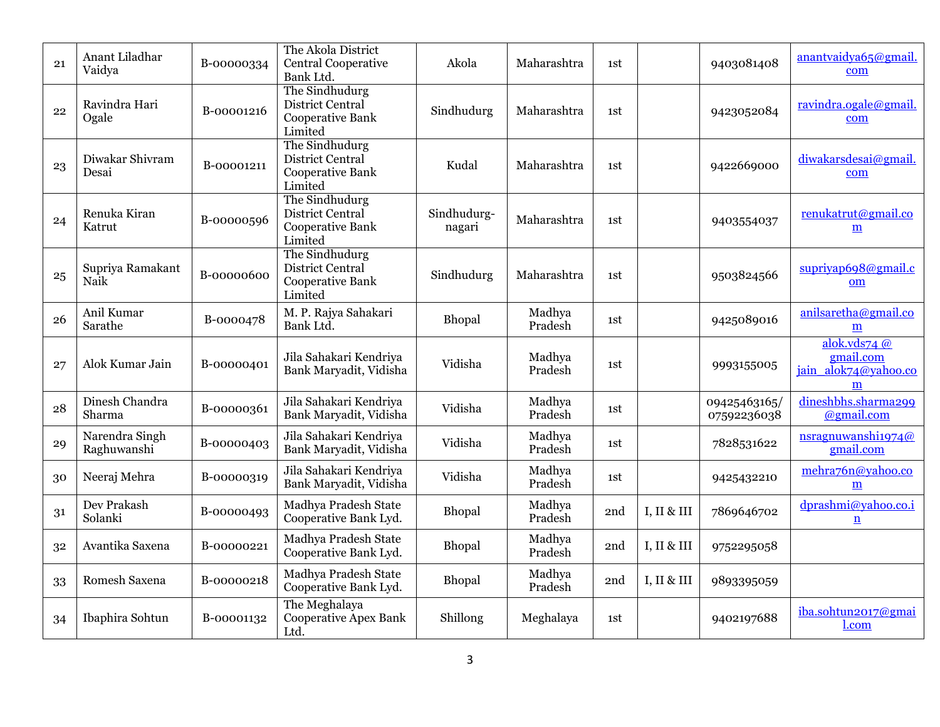| 21 | Anant Liladhar<br>Vaidya      | B-00000334 | The Akola District<br><b>Central Cooperative</b><br>Bank Ltd.            | Akola                 | Maharashtra       | 1st |             | 9403081408                  | anantvaidva65@gmail.<br>com                              |
|----|-------------------------------|------------|--------------------------------------------------------------------------|-----------------------|-------------------|-----|-------------|-----------------------------|----------------------------------------------------------|
| 22 | Ravindra Hari<br>Ogale        | B-00001216 | The Sindhudurg<br>District Central<br><b>Cooperative Bank</b><br>Limited | Sindhudurg            | Maharashtra       | 1st |             | 9423052084                  | ravindra.ogale@gmail.<br>com                             |
| 23 | Diwakar Shivram<br>Desai      | B-00001211 | The Sindhudurg<br>District Central<br><b>Cooperative Bank</b><br>Limited | Kudal                 | Maharashtra       | 1st |             | 9422669000                  | diwakarsdesai@gmail.<br>com                              |
| 24 | Renuka Kiran<br>Katrut        | B-00000596 | The Sindhudurg<br>District Central<br><b>Cooperative Bank</b><br>Limited | Sindhudurg-<br>nagari | Maharashtra       | 1st |             | 9403554037                  | renukatrut@gmail.co<br>m                                 |
| 25 | Supriya Ramakant<br>Naik      | B-00000600 | The Sindhudurg<br>District Central<br><b>Cooperative Bank</b><br>Limited | Sindhudurg            | Maharashtra       | 1st |             | 9503824566                  | supriyap698@gmail.c<br>om                                |
| 26 | Anil Kumar<br>Sarathe         | B-0000478  | M. P. Rajya Sahakari<br>Bank Ltd.                                        | Bhopal                | Madhya<br>Pradesh | 1st |             | 9425089016                  | anilsaretha@gmail.co<br>m                                |
| 27 | Alok Kumar Jain               | B-00000401 | Jila Sahakari Kendriya<br>Bank Maryadit, Vidisha                         | Vidisha               | Madhya<br>Pradesh | 1st |             | 9993155005                  | alok.vds74 $@$<br>gmail.com<br>jain alok74@yahoo.co<br>m |
| 28 | Dinesh Chandra<br>Sharma      | B-00000361 | Jila Sahakari Kendriya<br>Bank Maryadit, Vidisha                         | Vidisha               | Madhya<br>Pradesh | 1st |             | 09425463165/<br>07592236038 | dineshbhs.sharma299<br>@gmail.com                        |
| 29 | Narendra Singh<br>Raghuwanshi | B-00000403 | Jila Sahakari Kendriya<br>Bank Maryadit, Vidisha                         | Vidisha               | Madhya<br>Pradesh | 1st |             | 7828531622                  | nsragnuwanshi1974@<br>gmail.com                          |
| 30 | Neeraj Mehra                  | B-00000319 | Jila Sahakari Kendriya<br>Bank Maryadit, Vidisha                         | Vidisha               | Madhya<br>Pradesh | 1st |             | 9425432210                  | mehra76n@yahoo.co<br>m                                   |
| 31 | Dev Prakash<br>Solanki        | B-00000493 | Madhya Pradesh State<br>Cooperative Bank Lyd.                            | Bhopal                | Madhya<br>Pradesh | 2nd | I, II & III | 7869646702                  | dprashmi@yahoo.co.i<br>$\underline{n}$                   |
| 32 | Avantika Saxena               | B-00000221 | Madhya Pradesh State<br>Cooperative Bank Lyd.                            | Bhopal                | Madhya<br>Pradesh | 2nd | I, II & III | 9752295058                  |                                                          |
| 33 | Romesh Saxena                 | B-00000218 | Madhya Pradesh State<br>Cooperative Bank Lyd.                            | Bhopal                | Madhya<br>Pradesh | 2nd | I, II & III | 9893395059                  |                                                          |
| 34 | Ibaphira Sohtun               | B-00001132 | The Meghalaya<br><b>Cooperative Apex Bank</b><br>Ltd.                    | Shillong              | Meghalaya         | 1st |             | 9402197688                  | iba.sohtun2017@gmai<br>l.com                             |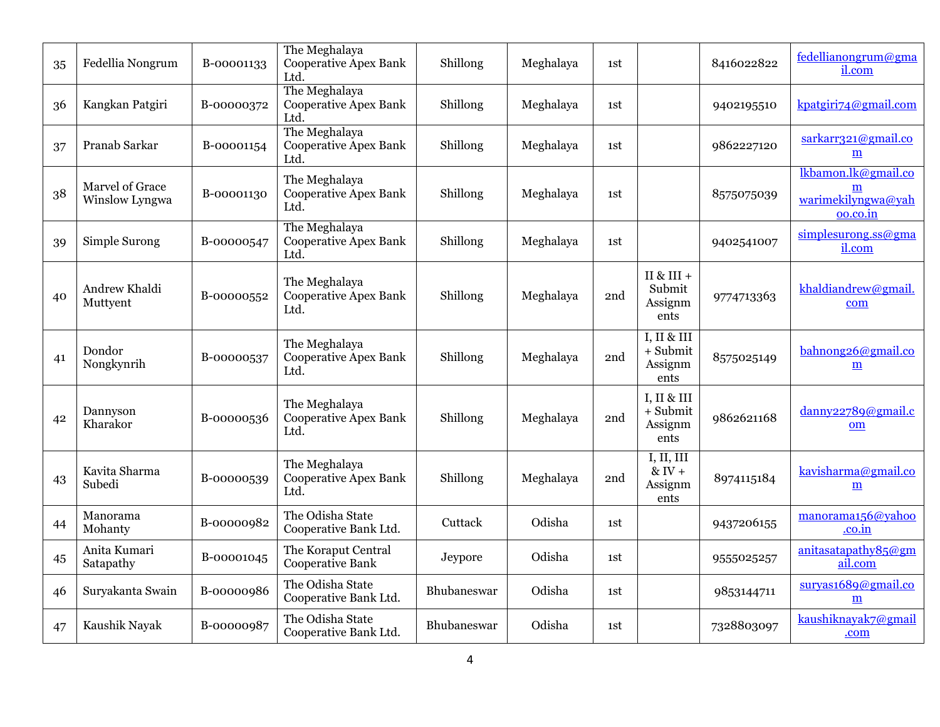| 35 | Fedellia Nongrum                  | B-00001133 | The Meghalaya<br><b>Cooperative Apex Bank</b><br>Ltd. | Shillong    | Meghalaya | 1st |                                              | 8416022822 | fedellianongrum@gma<br>il.com                              |
|----|-----------------------------------|------------|-------------------------------------------------------|-------------|-----------|-----|----------------------------------------------|------------|------------------------------------------------------------|
| 36 | Kangkan Patgiri                   | B-00000372 | The Meghalaya<br><b>Cooperative Apex Bank</b><br>Ltd. | Shillong    | Meghalaya | 1st |                                              | 9402195510 | kpatgiri74@gmail.com                                       |
| 37 | Pranab Sarkar                     | B-00001154 | The Meghalaya<br><b>Cooperative Apex Bank</b><br>Ltd. | Shillong    | Meghalaya | 1st |                                              | 9862227120 | sarkarr321@gmail.co<br>$\underline{\mathbf{m}}$            |
| 38 | Marvel of Grace<br>Winslow Lyngwa | B-00001130 | The Meghalaya<br><b>Cooperative Apex Bank</b><br>Ltd. | Shillong    | Meghalaya | 1st |                                              | 8575075039 | lkbamon.lk@gmail.co<br>m<br>warimekilyngwa@yah<br>oo.co.in |
| 39 | Simple Surong                     | B-00000547 | The Meghalaya<br><b>Cooperative Apex Bank</b><br>Ltd. | Shillong    | Meghalaya | 1st |                                              | 9402541007 | simplesurong.ss@gma<br>il.com                              |
| 40 | Andrew Khaldi<br>Muttyent         | B-00000552 | The Meghalaya<br><b>Cooperative Apex Bank</b><br>Ltd. | Shillong    | Meghalaya | 2nd | II & III +<br>Submit<br>Assignm<br>ents      | 9774713363 | khaldiandrew@gmail.<br>com                                 |
| 41 | Dondor<br>Nongkynrih              | B-00000537 | The Meghalaya<br><b>Cooperative Apex Bank</b><br>Ltd. | Shillong    | Meghalaya | 2nd | I, II & III<br>$+$ Submit<br>Assignm<br>ents | 8575025149 | bahnong26@gmail.co<br>$\underline{\mathbf{m}}$             |
| 42 | Dannyson<br>Kharakor              | B-00000536 | The Meghalaya<br><b>Cooperative Apex Bank</b><br>Ltd. | Shillong    | Meghalaya | 2nd | I, II & III<br>+ Submit<br>Assignm<br>ents   | 9862621168 | danny22789@gmail.c<br>om                                   |
| 43 | Kavita Sharma<br>Subedi           | B-00000539 | The Meghalaya<br><b>Cooperative Apex Bank</b><br>Ltd. | Shillong    | Meghalaya | 2nd | I, II, III<br>$&$ IV +<br>Assignm<br>ents    | 8974115184 | kavisharma@gmail.co<br>$\underline{\textbf{m}}$            |
| 44 | Manorama<br>Mohanty               | B-00000982 | The Odisha State<br>Cooperative Bank Ltd.             | Cuttack     | Odisha    | 1st |                                              | 9437206155 | manorama156@yahoo<br>.co.in                                |
| 45 | Anita Kumari<br>Satapathy         | B-00001045 | The Koraput Central<br><b>Cooperative Bank</b>        | Jeypore     | Odisha    | 1st |                                              | 9555025257 | anitasatapathy $85@gm$<br>ail.com                          |
| 46 | Suryakanta Swain                  | B-00000986 | The Odisha State<br>Cooperative Bank Ltd.             | Bhubaneswar | Odisha    | 1st |                                              | 9853144711 | survas1689@gmail.co<br>m                                   |
| 47 | Kaushik Nayak                     | B-00000987 | The Odisha State<br>Cooperative Bank Ltd.             | Bhubaneswar | Odisha    | 1st |                                              | 7328803097 | kaushiknayak7@gmail<br>.com                                |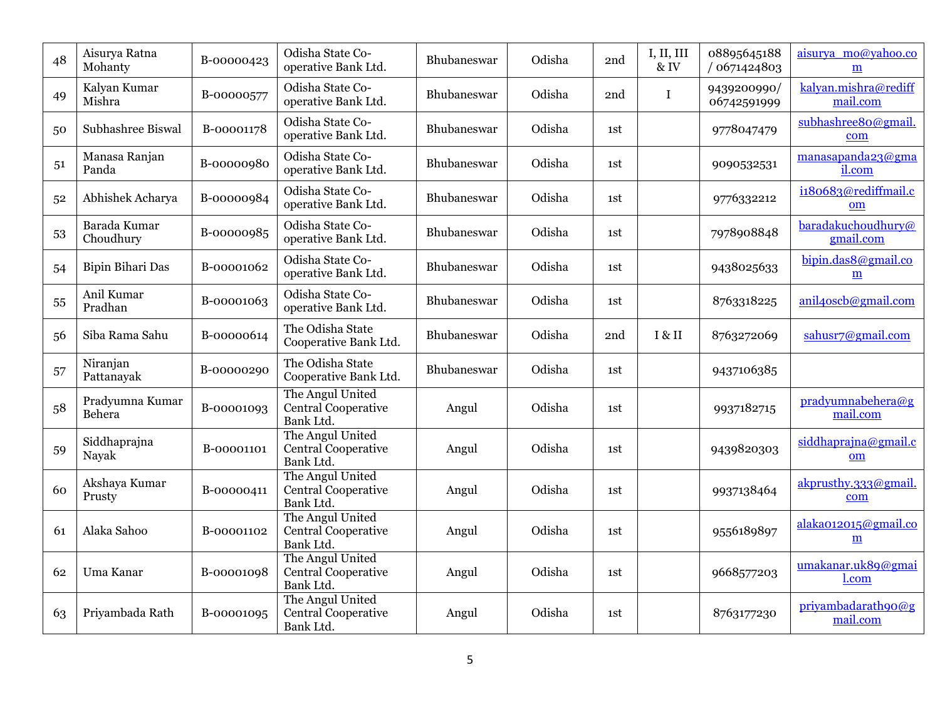| 48 | Aisurya Ratna<br>Mohanty  | B-00000423 | Odisha State Co-<br>operative Bank Ltd.                     | Bhubaneswar        | Odisha | 2nd | I, II, III<br>$&$ IV | 08895645188<br>/ 0671424803 | aisurya mo@yahoo.co<br>m         |
|----|---------------------------|------------|-------------------------------------------------------------|--------------------|--------|-----|----------------------|-----------------------------|----------------------------------|
| 49 | Kalyan Kumar<br>Mishra    | B-00000577 | Odisha State Co-<br>operative Bank Ltd.                     | Bhubaneswar        | Odisha | 2nd | $\bf I$              | 9439200990/<br>06742591999  | kalyan.mishra@rediff<br>mail.com |
| 50 | Subhashree Biswal         | B-00001178 | Odisha State Co-<br>operative Bank Ltd.                     | Bhubaneswar        | Odisha | 1st |                      | 9778047479                  | subhashree80@gmail.<br>com       |
| 51 | Manasa Ranjan<br>Panda    | B-00000980 | Odisha State Co-<br>operative Bank Ltd.                     | Bhubaneswar        | Odisha | 1st |                      | 9090532531                  | manasapanda23@gma<br>il.com      |
| 52 | Abhishek Acharya          | B-00000984 | Odisha State Co-<br>operative Bank Ltd.                     | Bhubaneswar        | Odisha | 1st |                      | 9776332212                  | i180683@rediffmail.c<br>om       |
| 53 | Barada Kumar<br>Choudhury | B-00000985 | Odisha State Co-<br>operative Bank Ltd.                     | Bhubaneswar        | Odisha | 1st |                      | 7978908848                  | baradakuchoudhury@<br>gmail.com  |
| 54 | Bipin Bihari Das          | B-00001062 | Odisha State Co-<br>operative Bank Ltd.                     | <b>Bhubaneswar</b> | Odisha | 1st |                      | 9438025633                  | bipin.das8@gmail.co<br>m         |
| 55 | Anil Kumar<br>Pradhan     | B-00001063 | Odisha State Co-<br>operative Bank Ltd.                     | Bhubaneswar        | Odisha | 1st |                      | 8763318225                  | anil4oscb@gmail.com              |
| 56 | Siba Rama Sahu            | B-00000614 | The Odisha State<br>Cooperative Bank Ltd.                   | Bhubaneswar        | Odisha | 2nd | I & II               | 8763272069                  | sahusr7@gmail.com                |
| 57 | Niranjan<br>Pattanayak    | B-00000290 | The Odisha State<br>Cooperative Bank Ltd.                   | Bhubaneswar        | Odisha | 1st |                      | 9437106385                  |                                  |
| 58 | Pradyumna Kumar<br>Behera | B-00001093 | The Angul United<br><b>Central Cooperative</b><br>Bank Ltd. | Angul              | Odisha | 1st |                      | 9937182715                  | pradyumnabehera@g<br>mail.com    |
| 59 | Siddhaprajna<br>Nayak     | B-00001101 | The Angul United<br><b>Central Cooperative</b><br>Bank Ltd. | Angul              | Odisha | 1st |                      | 9439820303                  | siddhaprajna@gmail.c<br>om       |
| 60 | Akshaya Kumar<br>Prusty   | B-00000411 | The Angul United<br><b>Central Cooperative</b><br>Bank Ltd. | Angul              | Odisha | 1st |                      | 9937138464                  | akprusthy.333@gmail.<br>com      |
| 61 | Alaka Sahoo               | B-00001102 | The Angul United<br><b>Central Cooperative</b><br>Bank Ltd. | Angul              | Odisha | 1st |                      | 9556189897                  | alaka012015@gmail.co<br>m        |
| 62 | Uma Kanar                 | B-00001098 | The Angul United<br>Central Cooperative<br>Bank Ltd.        | Angul              | Odisha | 1st |                      | 9668577203                  | umakanar.uk89@gmai<br>l.com      |
| 63 | Priyambada Rath           | B-00001095 | The Angul United<br><b>Central Cooperative</b><br>Bank Ltd. | Angul              | Odisha | 1st |                      | 8763177230                  | privambadarath90@g<br>mail.com   |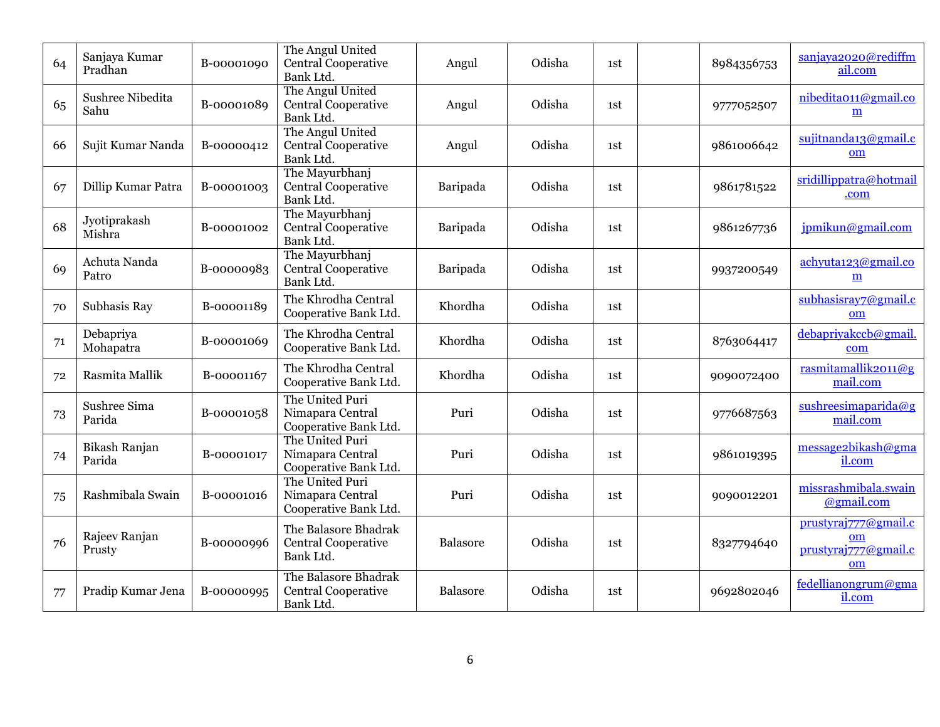| 64 | Sanjaya Kumar<br>Pradhan | B-00001090 | The Angul United<br><b>Central Cooperative</b><br>Bank Ltd.     | Angul    | Odisha | 1st | 8984356753 | sanjaya2020@rediffm<br>ail.com                           |
|----|--------------------------|------------|-----------------------------------------------------------------|----------|--------|-----|------------|----------------------------------------------------------|
| 65 | Sushree Nibedita<br>Sahu | B-00001089 | The Angul United<br><b>Central Cooperative</b><br>Bank Ltd.     | Angul    | Odisha | 1st | 9777052507 | nibedita011@gmail.co<br>m                                |
| 66 | Sujit Kumar Nanda        | B-00000412 | The Angul United<br><b>Central Cooperative</b><br>Bank Ltd.     | Angul    | Odisha | 1st | 9861006642 | sujitnanda13@gmail.c<br>om                               |
| 67 | Dillip Kumar Patra       | B-00001003 | The Mayurbhanj<br><b>Central Cooperative</b><br>Bank Ltd.       | Baripada | Odisha | 1st | 9861781522 | sridillippatra@hotmail<br>.com                           |
| 68 | Jyotiprakash<br>Mishra   | B-00001002 | The Mayurbhanj<br><b>Central Cooperative</b><br>Bank Ltd.       | Baripada | Odisha | 1st | 9861267736 | jpmikun@gmail.com                                        |
| 69 | Achuta Nanda<br>Patro    | B-00000983 | The Mayurbhanj<br>Central Cooperative<br>Bank Ltd.              | Baripada | Odisha | 1st | 9937200549 | achyuta123@gmail.co<br>m                                 |
| 70 | Subhasis Ray             | B-00001189 | The Khrodha Central<br>Cooperative Bank Ltd.                    | Khordha  | Odisha | 1st |            | subhasisray7@gmail.c<br>om                               |
| 71 | Debapriya<br>Mohapatra   | B-00001069 | The Khrodha Central<br>Cooperative Bank Ltd.                    | Khordha  | Odisha | 1st | 8763064417 | debapriyakccb@gmail.<br>com                              |
| 72 | Rasmita Mallik           | B-00001167 | The Khrodha Central<br>Cooperative Bank Ltd.                    | Khordha  | Odisha | 1st | 9090072400 | rasmitamallik2011@g<br>mail.com                          |
| 73 | Sushree Sima<br>Parida   | B-00001058 | The United Puri<br>Nimapara Central<br>Cooperative Bank Ltd.    | Puri     | Odisha | 1st | 9776687563 | sushreesimaparida@g<br>mail.com                          |
| 74 | Bikash Ranjan<br>Parida  | B-00001017 | The United Puri<br>Nimapara Central<br>Cooperative Bank Ltd.    | Puri     | Odisha | 1st | 9861019395 | message2bikash@gma<br>il.com                             |
| 75 | Rashmibala Swain         | B-00001016 | The United Puri<br>Nimapara Central<br>Cooperative Bank Ltd.    | Puri     | Odisha | 1st | 9090012201 | missrashmibala.swain<br>@gmail.com                       |
| 76 | Rajeev Ranjan<br>Prusty  | B-00000996 | The Balasore Bhadrak<br>Central Cooperative<br>Bank Ltd.        | Balasore | Odisha | 1st | 8327794640 | prustyraj777@gmail.c<br>om<br>prustyraj777@gmail.c<br>om |
| 77 | Pradip Kumar Jena        | B-00000995 | The Balasore Bhadrak<br><b>Central Cooperative</b><br>Bank Ltd. | Balasore | Odisha | 1st | 9692802046 | fedellianongrum@gma<br>il.com                            |